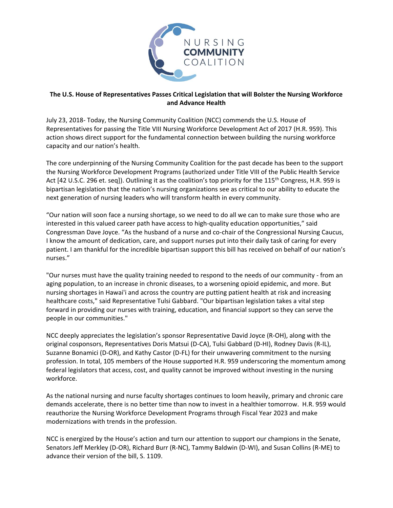

## **The U.S. House of Representatives Passes Critical Legislation that will Bolster the Nursing Workforce and Advance Health**

July 23, 2018- Today, the Nursing Community Coalition (NCC) commends the U.S. House of Representatives for passing the Title VIII Nursing Workforce Development Act of 2017 (H.R. 959). This action shows direct support for the fundamental connection between building the nursing workforce capacity and our nation's health.

The core underpinning of the Nursing Community Coalition for the past decade has been to the support the Nursing Workforce Development Programs (authorized under Title VIII of the Public Health Service Act [42 U.S.C. 296 et. seq]). Outlining it as the coalition's top priority for the 115<sup>th</sup> Congress, H.R. 959 is bipartisan legislation that the nation's nursing organizations see as critical to our ability to educate the next generation of nursing leaders who will transform health in every community.

"Our nation will soon face a nursing shortage, so we need to do all we can to make sure those who are interested in this valued career path have access to high-quality education opportunities," said Congressman Dave Joyce. "As the husband of a nurse and co-chair of the Congressional Nursing Caucus, I know the amount of dedication, care, and support nurses put into their daily task of caring for every patient. I am thankful for the incredible bipartisan support this bill has received on behalf of our nation's nurses."

"Our nurses must have the quality training needed to respond to the needs of our community - from an aging population, to an increase in chronic diseases, to a worsening opioid epidemic, and more. But nursing shortages in Hawai'i and across the country are putting patient health at risk and increasing healthcare costs," said Representative Tulsi Gabbard. "Our bipartisan legislation takes a vital step forward in providing our nurses with training, education, and financial support so they can serve the people in our communities."

NCC deeply appreciates the legislation's sponsor Representative David Joyce (R-OH), along with the original cosponsors, Representatives Doris Matsui (D-CA), Tulsi Gabbard (D-HI), Rodney Davis (R-IL), Suzanne Bonamici (D-OR), and Kathy Castor (D-FL) for their unwavering commitment to the nursing profession. In total, 105 members of the House supported H.R. 959 underscoring the momentum among federal legislators that access, cost, and quality cannot be improved without investing in the nursing workforce.

As the national nursing and nurse faculty shortages continues to loom heavily, primary and chronic care demands accelerate, there is no better time than now to invest in a healthier tomorrow. H.R. 959 would reauthorize the Nursing Workforce Development Programs through Fiscal Year 2023 and make modernizations with trends in the profession.

NCC is energized by the House's action and turn our attention to support our champions in the Senate, Senators Jeff Merkley (D-OR), Richard Burr (R-NC), Tammy Baldwin (D-WI), and Susan Collins (R-ME) to advance their version of the bill, S. 1109.